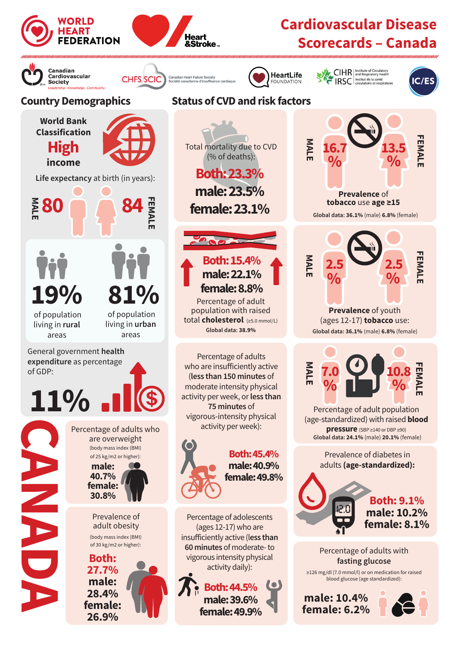